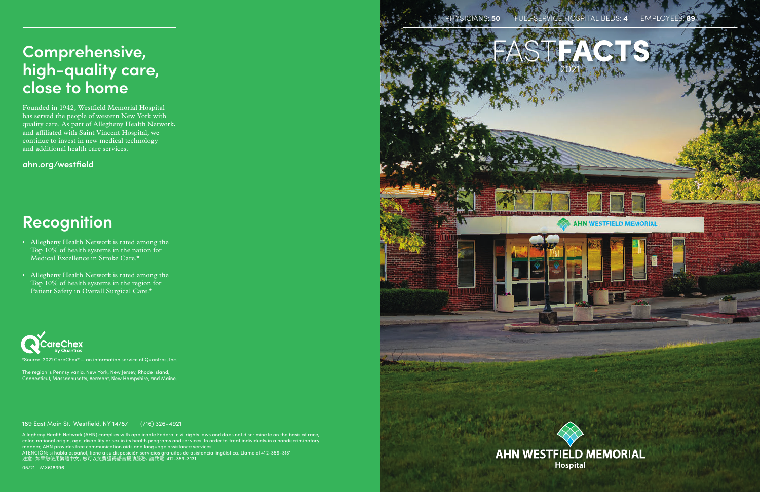Allegheny Health Network (AHN) complies with applicable Federal civil rights laws and does not discriminate on the basis of race, color, national origin, age, disability or sex in its health programs and services. In order to treat individuals in a nondiscriminatory manner, AHN provides free communication aids and language assistance services.

ATENCIÓN: si habla español, tiene a su disposición servicios gratuitos de asistencia lingüística. Llame al 412-359-3131 注意:如果您使用繁體中文,您可以免費獲得語言援助服務。請致電 412-359-3131

05/21 MX618396

189 East Main St. Westfield, NY 14787 | (716) 326-4921

## **Comprehensive, high-quality care, close to home**

Founded in 1942, Westfield Memorial Hospital has served the people of western New York with quality care. As part of Allegheny Health Network, and affiliated with Saint Vincent Hospital, we continue to invest in new medical technology and additional health care services.

**ahn.org/westfield**



# **Recognition**

- Allegheny Health Network is rated among the Top 10% of health systems in the nation for Medical Excellence in Stroke Care.\*
- Allegheny Health Network is rated among the Top 10% of health systems in the region for Patient Safety in Overall Surgical Care.\*



 $^{\star}$ Source: 2021 CareChex® — an information service of Quantros, Inc.

The region is Pennsylvania, New York, New Jersey, Rhode Island, Connecticut, Massachusetts, Vermont, New Hampshire, and Maine.